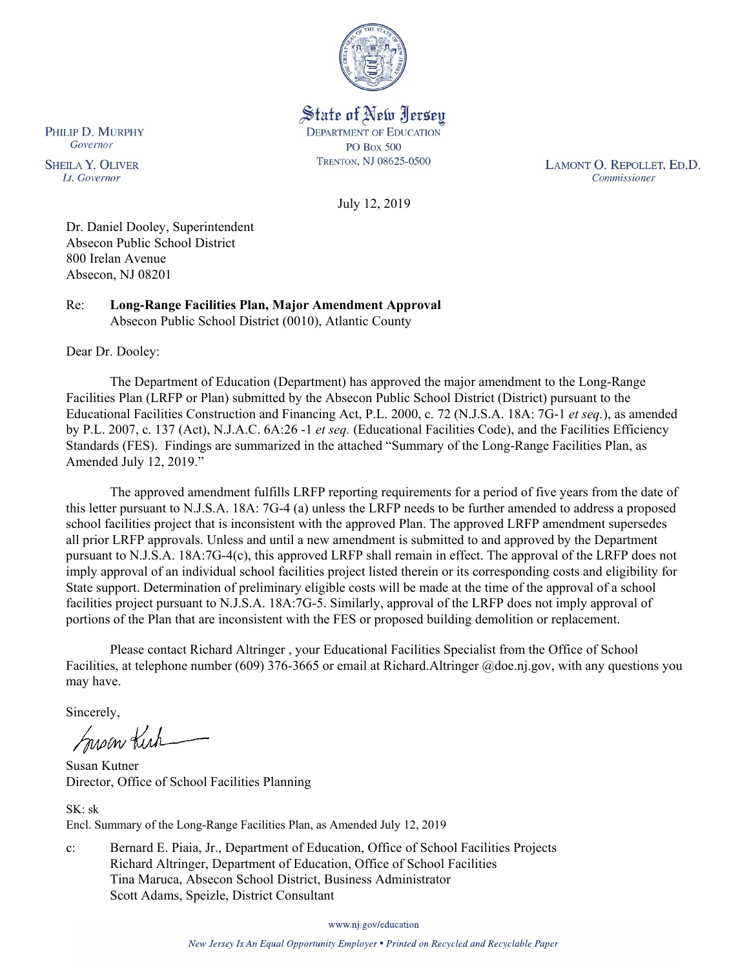

State of New Jersey **DEPARTMENT OF EDUCATION PO Box 500** TRENTON, NJ 08625-0500

LAMONT O. REPOLLET, ED.D. Commissioner

July 12, 2019

Dr. Daniel Dooley, Superintendent Absecon Public School District 800 Irelan Avenue Absecon, NJ 08201

Re: **Long-Range Facilities Plan, Major Amendment Approval** Absecon Public School District (0010), Atlantic County

Dear Dr. Dooley:

The Department of Education (Department) has approved the major amendment to the Long-Range Facilities Plan (LRFP or Plan) submitted by the Absecon Public School District (District) pursuant to the Educational Facilities Construction and Financing Act, P.L. 2000, c. 72 (N.J.S.A. 18A: 7G-1 *et seq.*), as amended by P.L. 2007, c. 137 (Act), N.J.A.C. 6A:26 -1 *et seq.* (Educational Facilities Code), and the Facilities Efficiency Standards (FES). Findings are summarized in the attached "Summary of the Long-Range Facilities Plan, as Amended July 12, 2019."

The approved amendment fulfills LRFP reporting requirements for a period of five years from the date of this letter pursuant to N.J.S.A. 18A: 7G-4 (a) unless the LRFP needs to be further amended to address a proposed school facilities project that is inconsistent with the approved Plan. The approved LRFP amendment supersedes all prior LRFP approvals. Unless and until a new amendment is submitted to and approved by the Department pursuant to N.J.S.A. 18A:7G-4(c), this approved LRFP shall remain in effect. The approval of the LRFP does not imply approval of an individual school facilities project listed therein or its corresponding costs and eligibility for State support. Determination of preliminary eligible costs will be made at the time of the approval of a school facilities project pursuant to N.J.S.A. 18A:7G-5. Similarly, approval of the LRFP does not imply approval of portions of the Plan that are inconsistent with the FES or proposed building demolition or replacement.

Please contact Richard Altringer , your Educational Facilities Specialist from the Office of School Facilities, at telephone number (609) 376-3665 or email at Richard.Altringer @doe.nj.gov, with any questions you may have.

Sincerely,

Susan Kich

Susan Kutner Director, Office of School Facilities Planning

SK: sk Encl. Summary of the Long-Range Facilities Plan, as Amended July 12, 2019

c: Bernard E. Piaia, Jr., Department of Education, Office of School Facilities Projects Richard Altringer, Department of Education, Office of School Facilities Tina Maruca, Absecon School District, Business Administrator Scott Adams, Speizle, District Consultant

www.nj.gov/education

New Jersey Is An Equal Opportunity Employer . Printed on Recycled and Recyclable Paper

PHILIP D. MURPHY Governor

**SHEILA Y. OLIVER** Lt. Governor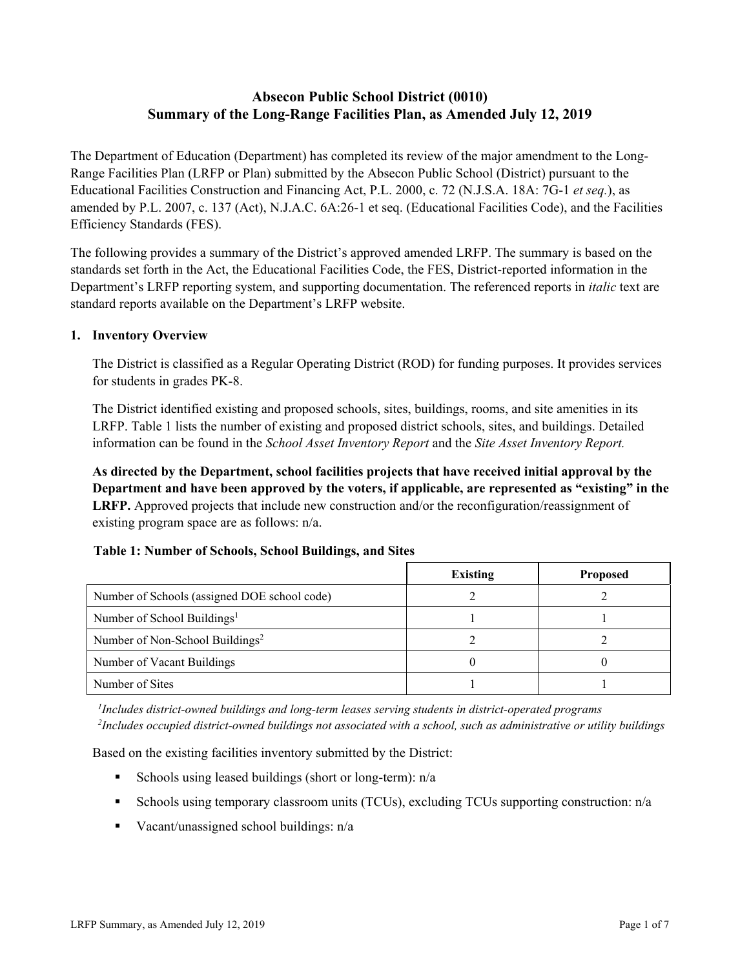# **Absecon Public School District (0010) Summary of the Long-Range Facilities Plan, as Amended July 12, 2019**

The Department of Education (Department) has completed its review of the major amendment to the Long-Range Facilities Plan (LRFP or Plan) submitted by the Absecon Public School (District) pursuant to the Educational Facilities Construction and Financing Act, P.L. 2000, c. 72 (N.J.S.A. 18A: 7G-1 *et seq.*), as amended by P.L. 2007, c. 137 (Act), N.J.A.C. 6A:26-1 et seq. (Educational Facilities Code), and the Facilities Efficiency Standards (FES).

The following provides a summary of the District's approved amended LRFP. The summary is based on the standards set forth in the Act, the Educational Facilities Code, the FES, District-reported information in the Department's LRFP reporting system, and supporting documentation. The referenced reports in *italic* text are standard reports available on the Department's LRFP website.

### **1. Inventory Overview**

The District is classified as a Regular Operating District (ROD) for funding purposes. It provides services for students in grades PK-8.

The District identified existing and proposed schools, sites, buildings, rooms, and site amenities in its LRFP. Table 1 lists the number of existing and proposed district schools, sites, and buildings. Detailed information can be found in the *School Asset Inventory Report* and the *Site Asset Inventory Report.*

**As directed by the Department, school facilities projects that have received initial approval by the Department and have been approved by the voters, if applicable, are represented as "existing" in the LRFP.** Approved projects that include new construction and/or the reconfiguration/reassignment of existing program space are as follows: n/a.

### **Table 1: Number of Schools, School Buildings, and Sites**

|                                              | <b>Existing</b> | <b>Proposed</b> |
|----------------------------------------------|-----------------|-----------------|
| Number of Schools (assigned DOE school code) |                 |                 |
| Number of School Buildings <sup>1</sup>      |                 |                 |
| Number of Non-School Buildings <sup>2</sup>  |                 |                 |
| Number of Vacant Buildings                   |                 |                 |
| Number of Sites                              |                 |                 |

*1 Includes district-owned buildings and long-term leases serving students in district-operated programs 2 Includes occupied district-owned buildings not associated with a school, such as administrative or utility buildings*

Based on the existing facilities inventory submitted by the District:

- Schools using leased buildings (short or long-term):  $n/a$
- Schools using temporary classroom units (TCUs), excluding TCUs supporting construction: n/a
- Vacant/unassigned school buildings:  $n/a$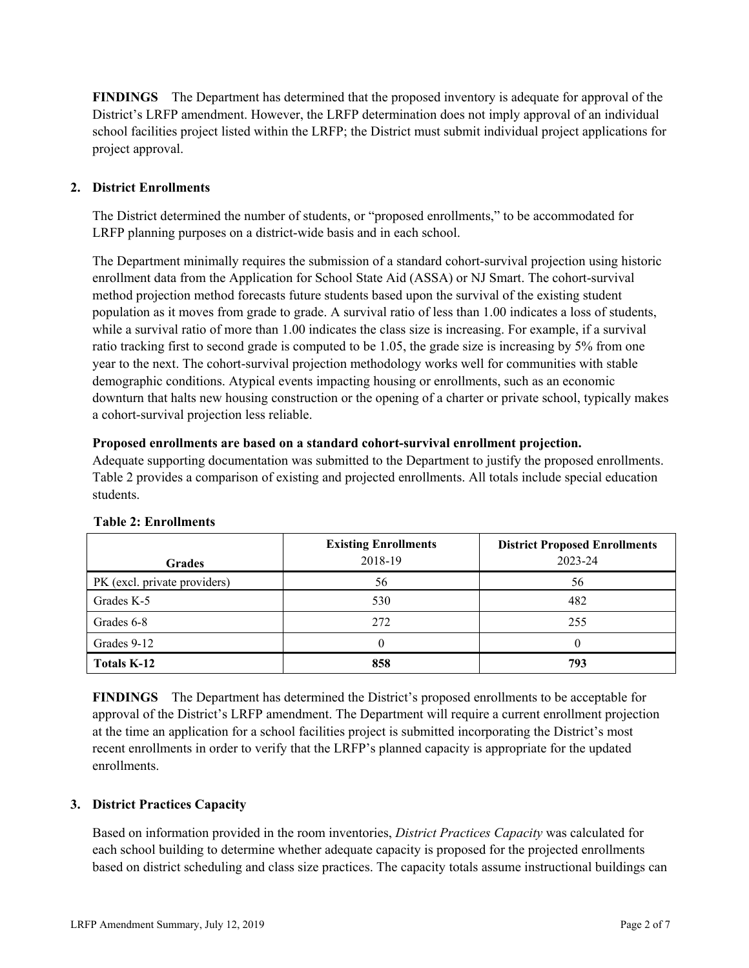**FINDINGS** The Department has determined that the proposed inventory is adequate for approval of the District's LRFP amendment. However, the LRFP determination does not imply approval of an individual school facilities project listed within the LRFP; the District must submit individual project applications for project approval.

# **2. District Enrollments**

The District determined the number of students, or "proposed enrollments," to be accommodated for LRFP planning purposes on a district-wide basis and in each school.

The Department minimally requires the submission of a standard cohort-survival projection using historic enrollment data from the Application for School State Aid (ASSA) or NJ Smart. The cohort-survival method projection method forecasts future students based upon the survival of the existing student population as it moves from grade to grade. A survival ratio of less than 1.00 indicates a loss of students, while a survival ratio of more than 1.00 indicates the class size is increasing. For example, if a survival ratio tracking first to second grade is computed to be 1.05, the grade size is increasing by 5% from one year to the next. The cohort-survival projection methodology works well for communities with stable demographic conditions. Atypical events impacting housing or enrollments, such as an economic downturn that halts new housing construction or the opening of a charter or private school, typically makes a cohort-survival projection less reliable.

### **Proposed enrollments are based on a standard cohort-survival enrollment projection.**

Adequate supporting documentation was submitted to the Department to justify the proposed enrollments. Table 2 provides a comparison of existing and projected enrollments. All totals include special education students.

| <b>Grades</b>                | <b>Existing Enrollments</b><br>2018-19 | <b>District Proposed Enrollments</b><br>2023-24 |
|------------------------------|----------------------------------------|-------------------------------------------------|
| PK (excl. private providers) | 56                                     | 56                                              |
| Grades K-5                   | 530                                    | 482                                             |
| Grades 6-8                   | 272                                    | 255                                             |
| Grades 9-12                  |                                        |                                                 |
| <b>Totals K-12</b>           | 858                                    | 793                                             |

### **Table 2: Enrollments**

**FINDINGS** The Department has determined the District's proposed enrollments to be acceptable for approval of the District's LRFP amendment. The Department will require a current enrollment projection at the time an application for a school facilities project is submitted incorporating the District's most recent enrollments in order to verify that the LRFP's planned capacity is appropriate for the updated enrollments.

### **3. District Practices Capacity**

Based on information provided in the room inventories, *District Practices Capacity* was calculated for each school building to determine whether adequate capacity is proposed for the projected enrollments based on district scheduling and class size practices. The capacity totals assume instructional buildings can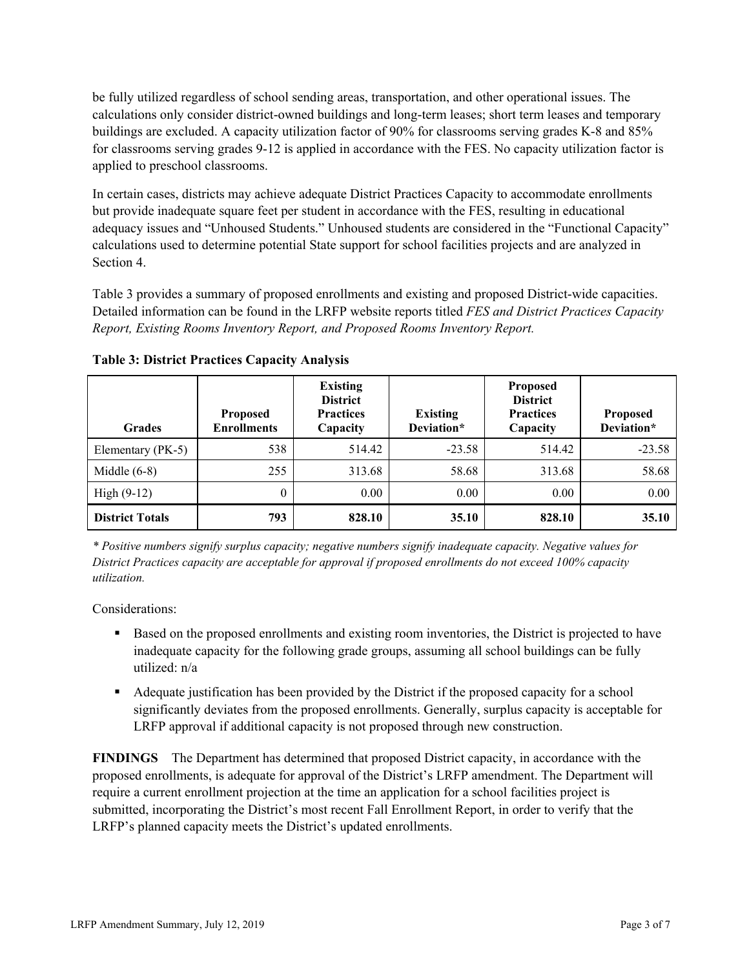be fully utilized regardless of school sending areas, transportation, and other operational issues. The calculations only consider district-owned buildings and long-term leases; short term leases and temporary buildings are excluded. A capacity utilization factor of 90% for classrooms serving grades K-8 and 85% for classrooms serving grades 9-12 is applied in accordance with the FES. No capacity utilization factor is applied to preschool classrooms.

In certain cases, districts may achieve adequate District Practices Capacity to accommodate enrollments but provide inadequate square feet per student in accordance with the FES, resulting in educational adequacy issues and "Unhoused Students." Unhoused students are considered in the "Functional Capacity" calculations used to determine potential State support for school facilities projects and are analyzed in Section 4.

Table 3 provides a summary of proposed enrollments and existing and proposed District-wide capacities. Detailed information can be found in the LRFP website reports titled *FES and District Practices Capacity Report, Existing Rooms Inventory Report, and Proposed Rooms Inventory Report.*

| <b>Grades</b>          | <b>Proposed</b><br><b>Enrollments</b> | <b>Existing</b><br><b>District</b><br><b>Practices</b><br>Capacity | <b>Existing</b><br>Deviation* | <b>Proposed</b><br><b>District</b><br><b>Practices</b><br>Capacity | <b>Proposed</b><br>Deviation* |
|------------------------|---------------------------------------|--------------------------------------------------------------------|-------------------------------|--------------------------------------------------------------------|-------------------------------|
| Elementary (PK-5)      | 538                                   | 514.42                                                             | $-23.58$                      | 514.42                                                             | $-23.58$                      |
| Middle $(6-8)$         | 255                                   | 313.68                                                             | 58.68                         | 313.68                                                             | 58.68                         |
| High $(9-12)$          | $\theta$                              | 0.00                                                               | 0.00                          | 0.00                                                               | 0.00                          |
| <b>District Totals</b> | 793                                   | 828.10                                                             | 35.10                         | 828.10                                                             | 35.10                         |

**Table 3: District Practices Capacity Analysis**

*\* Positive numbers signify surplus capacity; negative numbers signify inadequate capacity. Negative values for District Practices capacity are acceptable for approval if proposed enrollments do not exceed 100% capacity utilization.*

Considerations:

- **Based on the proposed enrollments and existing room inventories, the District is projected to have** inadequate capacity for the following grade groups, assuming all school buildings can be fully utilized: n/a
- Adequate justification has been provided by the District if the proposed capacity for a school significantly deviates from the proposed enrollments. Generally, surplus capacity is acceptable for LRFP approval if additional capacity is not proposed through new construction.

**FINDINGS**The Department has determined that proposed District capacity, in accordance with the proposed enrollments, is adequate for approval of the District's LRFP amendment. The Department will require a current enrollment projection at the time an application for a school facilities project is submitted, incorporating the District's most recent Fall Enrollment Report, in order to verify that the LRFP's planned capacity meets the District's updated enrollments.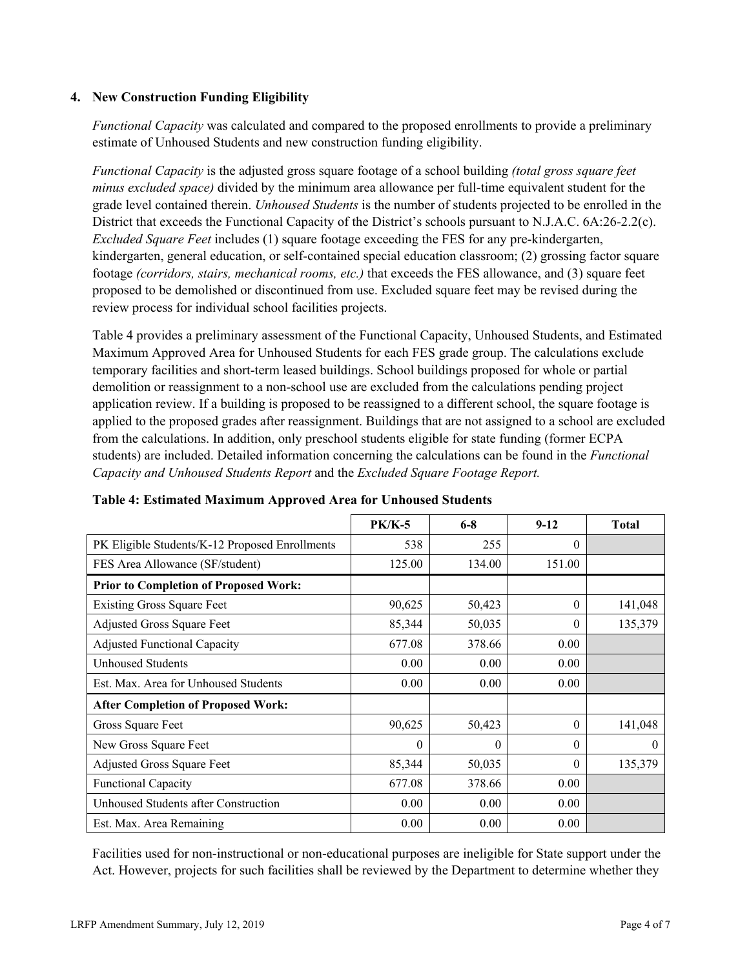### **4. New Construction Funding Eligibility**

*Functional Capacity* was calculated and compared to the proposed enrollments to provide a preliminary estimate of Unhoused Students and new construction funding eligibility.

*Functional Capacity* is the adjusted gross square footage of a school building *(total gross square feet minus excluded space)* divided by the minimum area allowance per full-time equivalent student for the grade level contained therein. *Unhoused Students* is the number of students projected to be enrolled in the District that exceeds the Functional Capacity of the District's schools pursuant to N.J.A.C. 6A:26-2.2(c). *Excluded Square Feet* includes (1) square footage exceeding the FES for any pre-kindergarten, kindergarten, general education, or self-contained special education classroom; (2) grossing factor square footage *(corridors, stairs, mechanical rooms, etc.)* that exceeds the FES allowance, and (3) square feet proposed to be demolished or discontinued from use. Excluded square feet may be revised during the review process for individual school facilities projects.

Table 4 provides a preliminary assessment of the Functional Capacity, Unhoused Students, and Estimated Maximum Approved Area for Unhoused Students for each FES grade group. The calculations exclude temporary facilities and short-term leased buildings. School buildings proposed for whole or partial demolition or reassignment to a non-school use are excluded from the calculations pending project application review. If a building is proposed to be reassigned to a different school, the square footage is applied to the proposed grades after reassignment. Buildings that are not assigned to a school are excluded from the calculations. In addition, only preschool students eligible for state funding (former ECPA students) are included. Detailed information concerning the calculations can be found in the *Functional Capacity and Unhoused Students Report* and the *Excluded Square Footage Report.*

|                                                | $PK/K-5$ | $6 - 8$  | $9-12$   | <b>Total</b> |
|------------------------------------------------|----------|----------|----------|--------------|
| PK Eligible Students/K-12 Proposed Enrollments | 538      | 255      | $\Omega$ |              |
| FES Area Allowance (SF/student)                | 125.00   | 134.00   | 151.00   |              |
| <b>Prior to Completion of Proposed Work:</b>   |          |          |          |              |
| <b>Existing Gross Square Feet</b>              | 90,625   | 50,423   | $\theta$ | 141,048      |
| Adjusted Gross Square Feet                     | 85,344   | 50,035   | $\theta$ | 135,379      |
| <b>Adjusted Functional Capacity</b>            | 677.08   | 378.66   | 0.00     |              |
| Unhoused Students                              | 0.00     | 0.00     | 0.00     |              |
| Est. Max. Area for Unhoused Students           | 0.00     | 0.00     | 0.00     |              |
| <b>After Completion of Proposed Work:</b>      |          |          |          |              |
| Gross Square Feet                              | 90,625   | 50,423   | $\Omega$ | 141,048      |
| New Gross Square Feet                          | $\theta$ | $\theta$ | $\theta$ | $\theta$     |
| <b>Adjusted Gross Square Feet</b>              | 85,344   | 50,035   | $\theta$ | 135,379      |
| <b>Functional Capacity</b>                     | 677.08   | 378.66   | 0.00     |              |
| Unhoused Students after Construction           | 0.00     | 0.00     | 0.00     |              |
| Est. Max. Area Remaining                       | 0.00     | 0.00     | 0.00     |              |

### **Table 4: Estimated Maximum Approved Area for Unhoused Students**

Facilities used for non-instructional or non-educational purposes are ineligible for State support under the Act. However, projects for such facilities shall be reviewed by the Department to determine whether they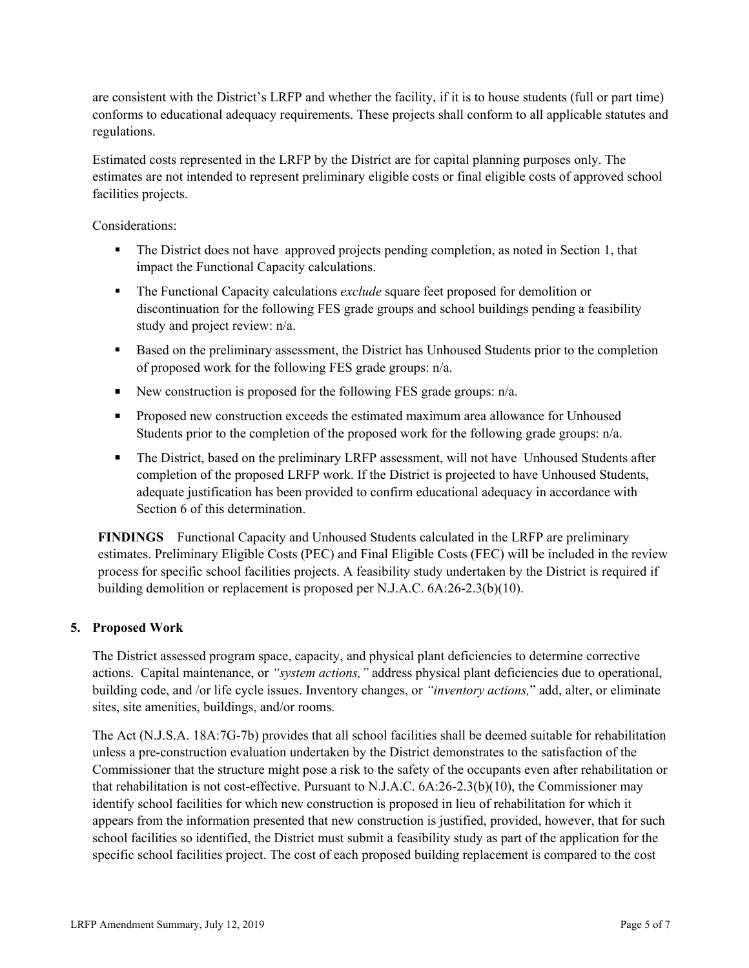are consistent with the District's LRFP and whether the facility, if it is to house students (full or part time) conforms to educational adequacy requirements. These projects shall conform to all applicable statutes and regulations.

Estimated costs represented in the LRFP by the District are for capital planning purposes only. The estimates are not intended to represent preliminary eligible costs or final eligible costs of approved school facilities projects.

Considerations:

- The District does not have approved projects pending completion, as noted in Section 1, that impact the Functional Capacity calculations.
- The Functional Capacity calculations *exclude* square feet proposed for demolition or discontinuation for the following FES grade groups and school buildings pending a feasibility study and project review: n/a.
- Based on the preliminary assessment, the District has Unhoused Students prior to the completion of proposed work for the following FES grade groups: n/a.
- New construction is proposed for the following FES grade groups:  $n/a$ .
- **Proposed new construction exceeds the estimated maximum area allowance for Unhoused** Students prior to the completion of the proposed work for the following grade groups: n/a.
- The District, based on the preliminary LRFP assessment, will not have Unhoused Students after completion of the proposed LRFP work. If the District is projected to have Unhoused Students, adequate justification has been provided to confirm educational adequacy in accordance with Section 6 of this determination.

**FINDINGS** Functional Capacity and Unhoused Students calculated in the LRFP are preliminary estimates. Preliminary Eligible Costs (PEC) and Final Eligible Costs (FEC) will be included in the review process for specific school facilities projects. A feasibility study undertaken by the District is required if building demolition or replacement is proposed per N.J.A.C. 6A:26-2.3(b)(10).

# **5. Proposed Work**

The District assessed program space, capacity, and physical plant deficiencies to determine corrective actions. Capital maintenance, or *"system actions,"* address physical plant deficiencies due to operational, building code, and /or life cycle issues. Inventory changes, or *"inventory actions,*" add, alter, or eliminate sites, site amenities, buildings, and/or rooms.

The Act (N.J.S.A. 18A:7G-7b) provides that all school facilities shall be deemed suitable for rehabilitation unless a pre-construction evaluation undertaken by the District demonstrates to the satisfaction of the Commissioner that the structure might pose a risk to the safety of the occupants even after rehabilitation or that rehabilitation is not cost-effective. Pursuant to N.J.A.C. 6A:26-2.3(b)(10), the Commissioner may identify school facilities for which new construction is proposed in lieu of rehabilitation for which it appears from the information presented that new construction is justified, provided, however, that for such school facilities so identified, the District must submit a feasibility study as part of the application for the specific school facilities project. The cost of each proposed building replacement is compared to the cost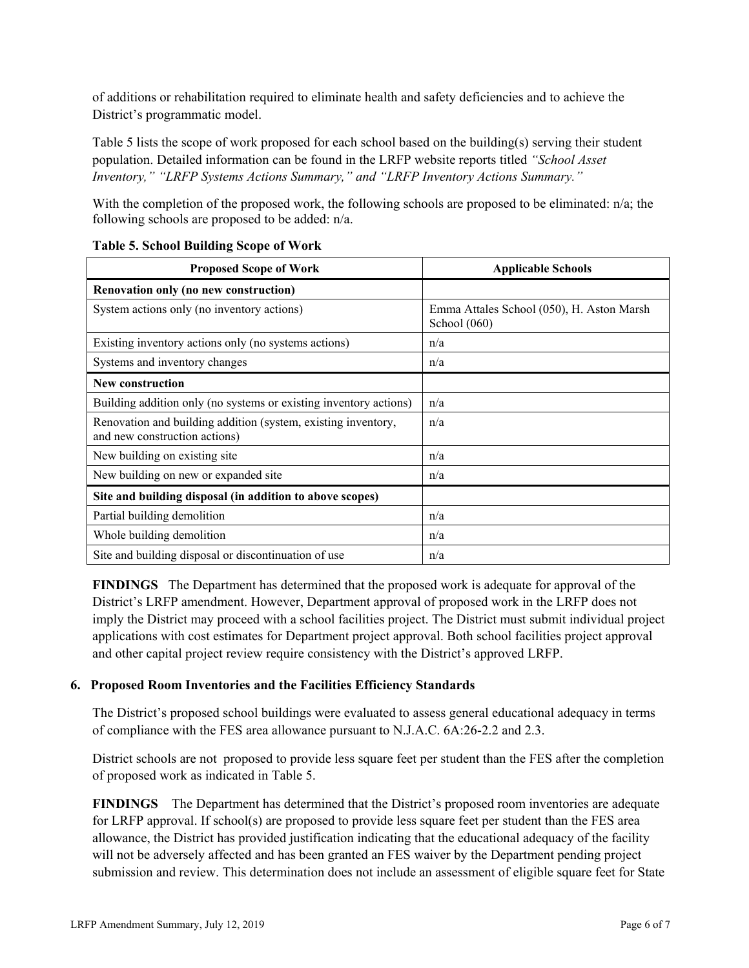of additions or rehabilitation required to eliminate health and safety deficiencies and to achieve the District's programmatic model.

Table 5 lists the scope of work proposed for each school based on the building(s) serving their student population. Detailed information can be found in the LRFP website reports titled *"School Asset Inventory," "LRFP Systems Actions Summary," and "LRFP Inventory Actions Summary."*

With the completion of the proposed work, the following schools are proposed to be eliminated:  $n/a$ ; the following schools are proposed to be added: n/a.

| <b>Proposed Scope of Work</b>                                                                  | <b>Applicable Schools</b>                                   |
|------------------------------------------------------------------------------------------------|-------------------------------------------------------------|
| Renovation only (no new construction)                                                          |                                                             |
| System actions only (no inventory actions)                                                     | Emma Attales School (050), H. Aston Marsh<br>School $(060)$ |
| Existing inventory actions only (no systems actions)                                           | n/a                                                         |
| Systems and inventory changes                                                                  | n/a                                                         |
| <b>New construction</b>                                                                        |                                                             |
| Building addition only (no systems or existing inventory actions)                              | n/a                                                         |
| Renovation and building addition (system, existing inventory,<br>and new construction actions) | n/a                                                         |
| New building on existing site                                                                  | n/a                                                         |
| New building on new or expanded site                                                           | n/a                                                         |
| Site and building disposal (in addition to above scopes)                                       |                                                             |
| Partial building demolition                                                                    | n/a                                                         |
| Whole building demolition                                                                      | n/a                                                         |
| Site and building disposal or discontinuation of use                                           | n/a                                                         |

### **Table 5. School Building Scope of Work**

**FINDINGS** The Department has determined that the proposed work is adequate for approval of the District's LRFP amendment. However, Department approval of proposed work in the LRFP does not imply the District may proceed with a school facilities project. The District must submit individual project applications with cost estimates for Department project approval. Both school facilities project approval and other capital project review require consistency with the District's approved LRFP.

# **6. Proposed Room Inventories and the Facilities Efficiency Standards**

The District's proposed school buildings were evaluated to assess general educational adequacy in terms of compliance with the FES area allowance pursuant to N.J.A.C. 6A:26-2.2 and 2.3.

District schools are not proposed to provide less square feet per student than the FES after the completion of proposed work as indicated in Table 5.

**FINDINGS** The Department has determined that the District's proposed room inventories are adequate for LRFP approval. If school(s) are proposed to provide less square feet per student than the FES area allowance, the District has provided justification indicating that the educational adequacy of the facility will not be adversely affected and has been granted an FES waiver by the Department pending project submission and review. This determination does not include an assessment of eligible square feet for State